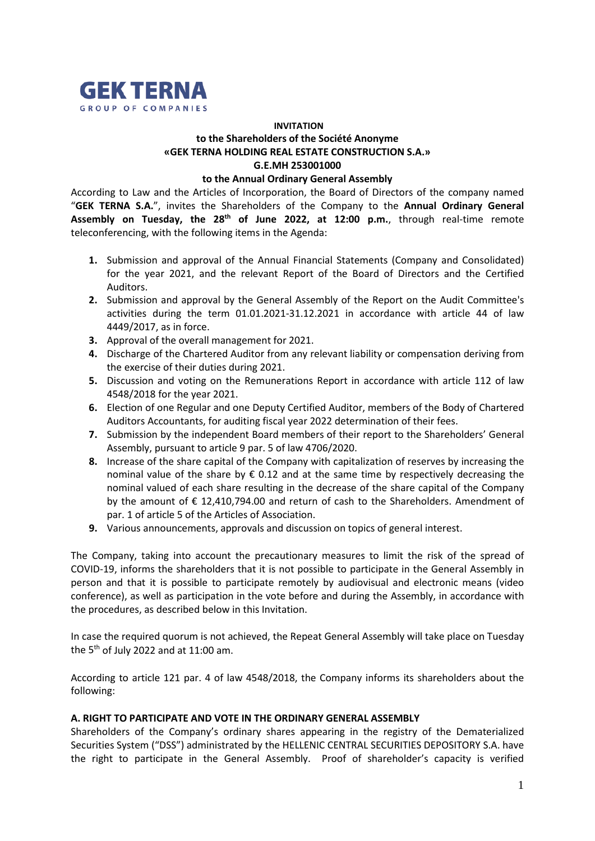

# **INVITATION to the Shareholders of the Société Anonyme «GEK TERNA HOLDING REAL ESTATE CONSTRUCTION S.A.» G.E.MH 253001000**

#### **to the Annual Ordinary General Assembly**

According to Law and the Articles of Incorporation, the Board of Directors of the company named "**GEK TERNA S.A.**", invites the Shareholders of the Company to the **Annual Ordinary General Assembly on Tuesday, the 28th of June 2022, at 12:00 p.m.**, through real-time remote teleconferencing, with the following items in the Agenda:

- **1.** Submission and approval of the Annual Financial Statements (Company and Consolidated) for the year 2021, and the relevant Report of the Board of Directors and the Certified Auditors.
- **2.** Submission and approval by the General Assembly of the Report on the Audit Committee's activities during the term 01.01.2021-31.12.2021 in accordance with article 44 of law 4449/2017, as in force.
- **3.** Approval of the overall management for 2021.
- **4.** Discharge of the Chartered Auditor from any relevant liability or compensation deriving from the exercise of their duties during 2021.
- **5.** Discussion and voting on the Remunerations Report in accordance with article 112 of law 4548/2018 for the year 2021.
- **6.** Election of one Regular and one Deputy Certified Auditor, members of the Body of Chartered Auditors Accountants, for auditing fiscal year 2022 determination of their fees.
- **7.** Submission by the independent Board members of their report to the Shareholders' General Assembly, pursuant to article 9 par. 5 of law 4706/2020.
- **8.** Increase of the share capital of the Company with capitalization of reserves by increasing the nominal value of the share by  $\epsilon$  0.12 and at the same time by respectively decreasing the nominal valued of each share resulting in the decrease of the share capital of the Company by the amount of € 12,410,794.00 and return of cash to the Shareholders. Amendment of par. 1 of article 5 of the Articles of Association.
- **9.** Various announcements, approvals and discussion on topics of general interest.

The Company, taking into account the precautionary measures to limit the risk of the spread of COVID-19, informs the shareholders that it is not possible to participate in the General Assembly in person and that it is possible to participate remotely by audiovisual and electronic means (video conference), as well as participation in the vote before and during the Assembly, in accordance with the procedures, as described below in this Invitation.

In case the required quorum is not achieved, the Repeat General Assembly will take place on Tuesday the  $5<sup>th</sup>$  of July 2022 and at 11:00 am.

According to article 121 par. 4 of law 4548/2018, the Company informs its shareholders about the following:

## **A. RIGHT TO PARTICIPATE AND VOTE IN THE ORDINARY GENERAL ASSEMBLY**

Shareholders of the Company's ordinary shares appearing in the registry of the Dematerialized Securities System ("DSS") administrated by the HELLENIC CENTRAL SECURITIES DEPOSITORY S.A. have the right to participate in the General Assembly. Proof of shareholder's capacity is verified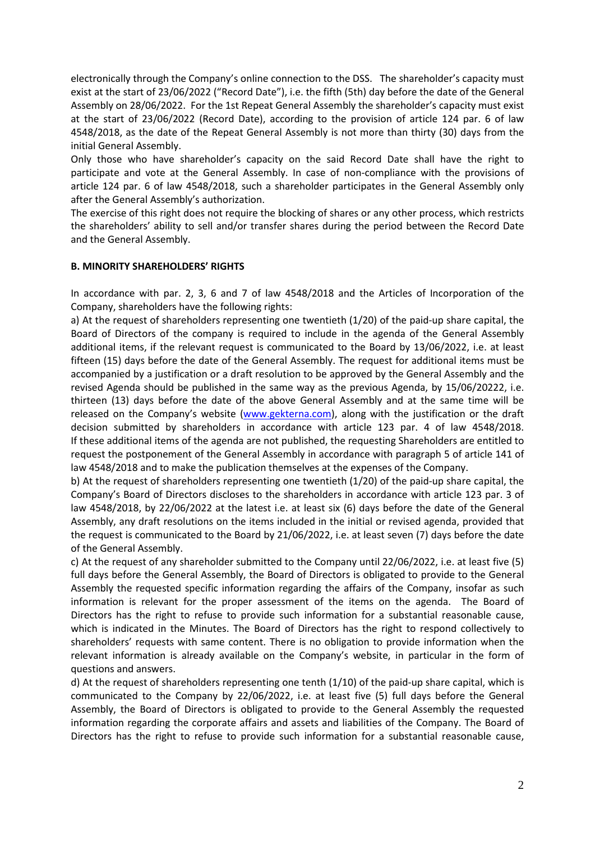electronically through the Company's online connection to the DSS. The shareholder's capacity must exist at the start of 23/06/2022 ("Record Date"), i.e. the fifth (5th) day before the date of the General Assembly on 28/06/2022. For the 1st Repeat General Assembly the shareholder's capacity must exist at the start of 23/06/2022 (Record Date), according to the provision of article 124 par. 6 of law 4548/2018, as the date of the Repeat General Assembly is not more than thirty (30) days from the initial General Assembly.

Only those who have shareholder's capacity on the said Record Date shall have the right to participate and vote at the General Assembly. In case of non-compliance with the provisions of article 124 par. 6 of law 4548/2018, such a shareholder participates in the General Assembly only after the General Assembly's authorization.

The exercise of this right does not require the blocking of shares or any other process, which restricts the shareholders' ability to sell and/or transfer shares during the period between the Record Date and the General Assembly.

### **B. MINORITY SHAREHOLDERS' RIGHTS**

In accordance with par. 2, 3, 6 and 7 of law 4548/2018 and the Articles of Incorporation of the Company, shareholders have the following rights:

a) At the request of shareholders representing one twentieth (1/20) of the paid-up share capital, the Board of Directors of the company is required to include in the agenda of the General Assembly additional items, if the relevant request is communicated to the Board by 13/06/2022, i.e. at least fifteen (15) days before the date of the General Assembly. The request for additional items must be accompanied by a justification or a draft resolution to be approved by the General Assembly and the revised Agenda should be published in the same way as the previous Agenda, by 15/06/20222, i.e. thirteen (13) days before the date of the above General Assembly and at the same time will be released on the Company's website [\(www.gekterna.com\)](http://www.gekterna.com/), along with the justification or the draft decision submitted by shareholders in accordance with article 123 par. 4 of law 4548/2018. If these additional items of the agenda are not published, the requesting Shareholders are entitled to request the postponement of the General Assembly in accordance with paragraph 5 of article 141 of law 4548/2018 and to make the publication themselves at the expenses of the Company.

b) At the request of shareholders representing one twentieth (1/20) of the paid-up share capital, the Company's Board of Directors discloses to the shareholders in accordance with article 123 par. 3 of law 4548/2018, by 22/06/2022 at the latest i.e. at least six (6) days before the date of the General Assembly, any draft resolutions on the items included in the initial or revised agenda, provided that the request is communicated to the Board by 21/06/2022, i.e. at least seven (7) days before the date of the General Assembly.

c) At the request of any shareholder submitted to the Company until 22/06/2022, i.e. at least five (5) full days before the General Assembly, the Board of Directors is obligated to provide to the General Assembly the requested specific information regarding the affairs of the Company, insofar as such information is relevant for the proper assessment of the items on the agenda. The Board of Directors has the right to refuse to provide such information for a substantial reasonable cause, which is indicated in the Minutes. The Board of Directors has the right to respond collectively to shareholders' requests with same content. There is no obligation to provide information when the relevant information is already available on the Company's website, in particular in the form of questions and answers.

d) At the request of shareholders representing one tenth (1/10) of the paid-up share capital, which is communicated to the Company by 22/06/2022, i.e. at least five (5) full days before the General Assembly, the Board of Directors is obligated to provide to the General Assembly the requested information regarding the corporate affairs and assets and liabilities of the Company. The Board of Directors has the right to refuse to provide such information for a substantial reasonable cause,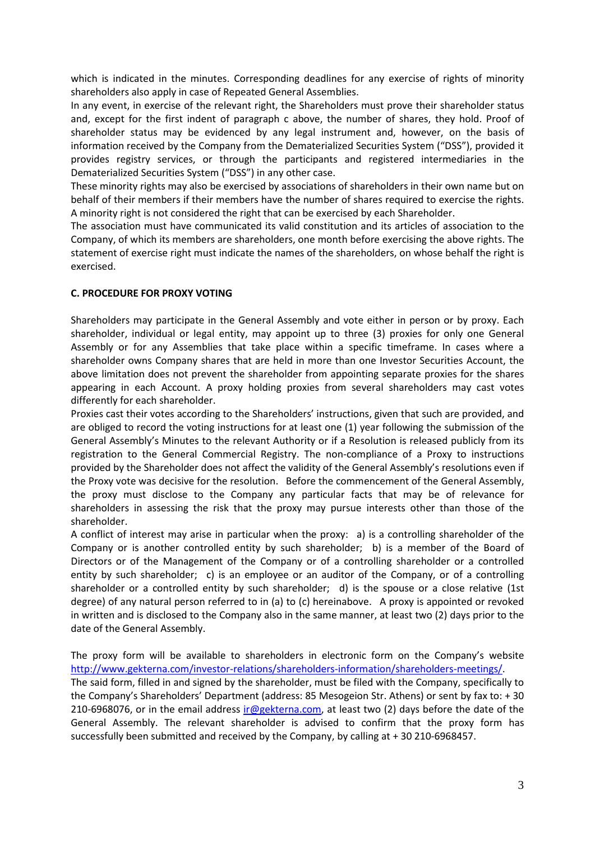which is indicated in the minutes. Corresponding deadlines for any exercise of rights of minority shareholders also apply in case of Repeated General Assemblies.

In any event, in exercise of the relevant right, the Shareholders must prove their shareholder status and, except for the first indent of paragraph c above, the number of shares, they hold. Proof of shareholder status may be evidenced by any legal instrument and, however, on the basis of information received by the Company from the Dematerialized Securities System ("DSS"), provided it provides registry services, or through the participants and registered intermediaries in the Dematerialized Securities System ("DSS") in any other case.

These minority rights may also be exercised by associations of shareholders in their own name but on behalf of their members if their members have the number of shares required to exercise the rights. A minority right is not considered the right that can be exercised by each Shareholder.

The association must have communicated its valid constitution and its articles of association to the Company, of which its members are shareholders, one month before exercising the above rights. The statement of exercise right must indicate the names of the shareholders, on whose behalf the right is exercised.

### **C. PROCEDURE FOR PROXY VOTING**

Shareholders may participate in the General Assembly and vote either in person or by proxy. Each shareholder, individual or legal entity, may appoint up to three (3) proxies for only one General Assembly or for any Assemblies that take place within a specific timeframe. In cases where a shareholder owns Company shares that are held in more than one Investor Securities Account, the above limitation does not prevent the shareholder from appointing separate proxies for the shares appearing in each Account. A proxy holding proxies from several shareholders may cast votes differently for each shareholder.

Proxies cast their votes according to the Shareholders' instructions, given that such are provided, and are obliged to record the voting instructions for at least one (1) year following the submission of the General Assembly's Minutes to the relevant Authority or if a Resolution is released publicly from its registration to the General Commercial Registry. The non-compliance of a Proxy to instructions provided by the Shareholder does not affect the validity of the General Assembly's resolutions even if the Proxy vote was decisive for the resolution. Before the commencement of the General Assembly, the proxy must disclose to the Company any particular facts that may be of relevance for shareholders in assessing the risk that the proxy may pursue interests other than those of the shareholder.

A conflict of interest may arise in particular when the proxy: a) is a controlling shareholder of the Company or is another controlled entity by such shareholder; b) is a member of the Board of Directors or of the Management of the Company or of a controlling shareholder or a controlled entity by such shareholder; c) is an employee or an auditor of the Company, or of a controlling shareholder or a controlled entity by such shareholder; d) is the spouse or a close relative (1st degree) of any natural person referred to in (a) to (c) hereinabove. A proxy is appointed or revoked in written and is disclosed to the Company also in the same manner, at least two (2) days prior to the date of the General Assembly.

The proxy form will be available to shareholders in electronic form on the Company's website [http://www.gekterna.com/investor-relations/shareholders-information/shareholders-meetings/.](http://www.gekterna.com/investor-relations/shareholders-information/shareholders-meetings/) The said form, filled in and signed by the shareholder, must be filed with the Company, specifically to the Company's Shareholders' Department (address: 85 Mesogeion Str. Athens) or sent by fax to: + 30 210-6968076, or in the email address [ir@gekterna.com,](mailto:ir@gekterna.com) at least two (2) days before the date of the General Assembly. The relevant shareholder is advised to confirm that the proxy form has successfully been submitted and received by the Company, by calling at + 30 210-6968457.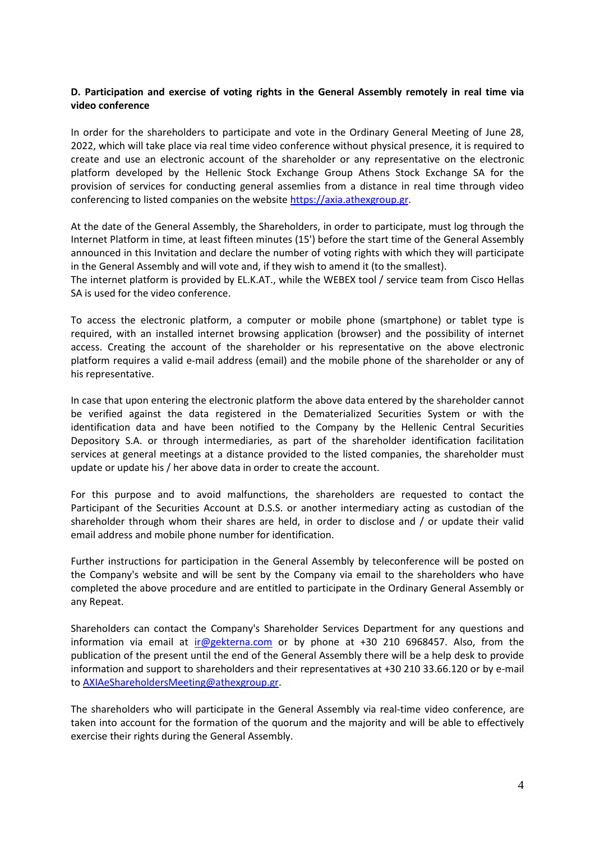### **D. Participation and exercise of voting rights in the General Assembly remotely in real time via video conference**

In order for the shareholders to participate and vote in the Ordinary General Meeting of June 28, 2022, which will take place via real time video conference without physical presence, it is required to create and use an electronic account of the shareholder or any representative on the electronic platform developed by the Hellenic Stock Exchange Group Athens Stock Exchange SA for the provision of services for conducting general assemlies from a distance in real time through video conferencing to listed companies on the website [https://axia.athexgroup.gr.](https://axia.athexgroup.gr/)

At the date of the General Assembly, the Shareholders, in order to participate, must log through the Internet Platform in time, at least fifteen minutes (15') before the start time of the General Assembly announced in this Invitation and declare the number of voting rights with which they will participate in the General Assembly and will vote and, if they wish to amend it (to the smallest).

The internet platform is provided by EL.K.AT., while the WEBEX tool / service team from Cisco Hellas SA is used for the video conference.

To access the electronic platform, a computer or mobile phone (smartphone) or tablet type is required, with an installed internet browsing application (browser) and the possibility of internet access. Creating the account of the shareholder or his representative on the above electronic platform requires a valid e-mail address (email) and the mobile phone of the shareholder or any of his representative.

In case that upon entering the electronic platform the above data entered by the shareholder cannot be verified against the data registered in the Dematerialized Securities System or with the identification data and have been notified to the Company by the Hellenic Central Securities Depository S.A. or through intermediaries, as part of the shareholder identification facilitation services at general meetings at a distance provided to the listed companies, the shareholder must update or update his / her above data in order to create the account.

For this purpose and to avoid malfunctions, the shareholders are requested to contact the Participant of the Securities Account at D.S.S. or another intermediary acting as custodian of the shareholder through whom their shares are held, in order to disclose and / or update their valid email address and mobile phone number for identification.

Further instructions for participation in the General Assembly by teleconference will be posted on the Company's website and will be sent by the Company via email to the shareholders who have completed the above procedure and are entitled to participate in the Ordinary General Assembly or any Repeat.

Shareholders can contact the Company's Shareholder Services Department for any questions and information via email at [ir@gekterna.com](mailto:ir@gekterna.com) or by phone at +30 210 6968457. Also, from the publication of the present until the end of the General Assembly there will be a help desk to provide information and support to shareholders and their representatives at +30 210 33.66.120 or by e-mail to [AXIAeShareholdersMeeting@athexgroup.gr.](mailto:AXIAeShareholdersMeeting@athexgroup.gr)

The shareholders who will participate in the General Assembly via real-time video conference, are taken into account for the formation of the quorum and the majority and will be able to effectively exercise their rights during the General Assembly.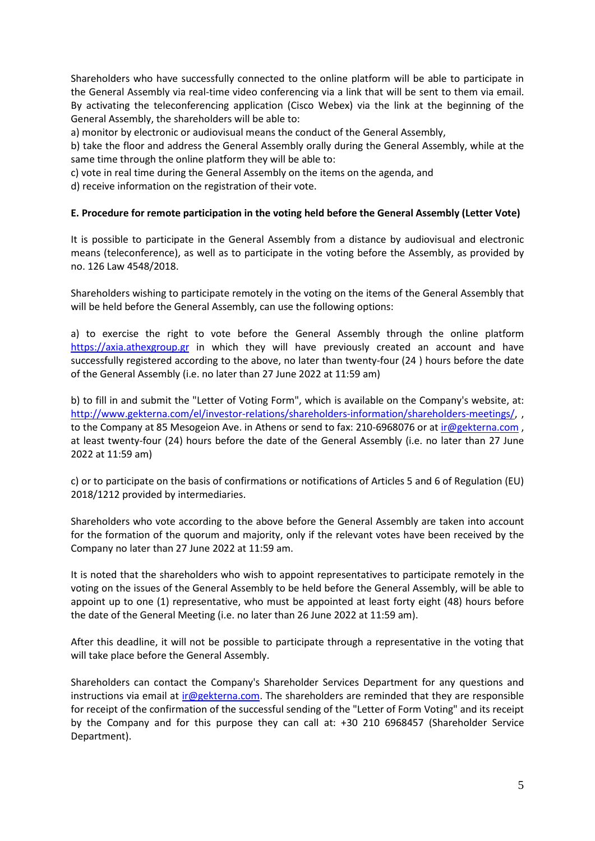Shareholders who have successfully connected to the online platform will be able to participate in the General Assembly via real-time video conferencing via a link that will be sent to them via email. By activating the teleconferencing application (Cisco Webex) via the link at the beginning of the General Assembly, the shareholders will be able to:

a) monitor by electronic or audiovisual means the conduct of the General Assembly,

b) take the floor and address the General Assembly orally during the General Assembly, while at the same time through the online platform they will be able to:

c) vote in real time during the General Assembly on the items on the agenda, and

d) receive information on the registration of their vote.

### **E. Procedure for remote participation in the voting held before the General Assembly (Letter Vote)**

It is possible to participate in the General Assembly from a distance by audiovisual and electronic means (teleconference), as well as to participate in the voting before the Assembly, as provided by no. 126 Law 4548/2018.

Shareholders wishing to participate remotely in the voting on the items of the General Assembly that will be held before the General Assembly, can use the following options:

a) to exercise the right to vote before the General Assembly through the online platform [https://axia.athexgroup.gr](https://axia.athexgroup.gr/) in which they will have previously created an account and have successfully registered according to the above, no later than twenty-four (24 ) hours before the date of the General Assembly (i.e. no later than 27 June 2022 at 11:59 am)

b) to fill in and submit the "Letter of Voting Form", which is available on the Company's website, at: [http://www.gekterna.com/el/investor-relations/shareholders-information/shareholders-meetings/,](http://www.gekterna.com/el/investor-relations/shareholders-information/shareholders-meetings/) , to the Company at 85 Mesogeion Ave. in Athens or send to fax: 210-6968076 or at [ir@gekterna.com](mailto:ir@gekterna.com), at least twenty-four (24) hours before the date of the General Assembly (i.e. no later than 27 June 2022 at 11:59 am)

c) or to participate on the basis of confirmations or notifications of Articles 5 and 6 of Regulation (EU) 2018/1212 provided by intermediaries.

Shareholders who vote according to the above before the General Assembly are taken into account for the formation of the quorum and majority, only if the relevant votes have been received by the Company no later than 27 June 2022 at 11:59 am.

It is noted that the shareholders who wish to appoint representatives to participate remotely in the voting on the issues of the General Assembly to be held before the General Assembly, will be able to appoint up to one (1) representative, who must be appointed at least forty eight (48) hours before the date of the General Meeting (i.e. no later than 26 June 2022 at 11:59 am).

After this deadline, it will not be possible to participate through a representative in the voting that will take place before the General Assembly.

Shareholders can contact the Company's Shareholder Services Department for any questions and instructions via email at ir $@$ gekterna.com. The shareholders are reminded that they are responsible for receipt of the confirmation of the successful sending of the "Letter of Form Voting" and its receipt by the Company and for this purpose they can call at: +30 210 6968457 (Shareholder Service Department).